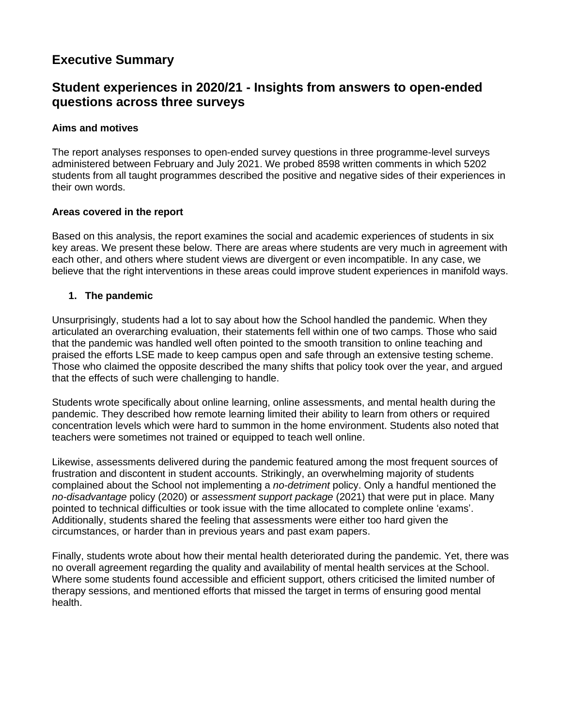# **Executive Summary**

## **Student experiences in 2020/21 - Insights from answers to open-ended questions across three surveys**

#### **Aims and motives**

The report analyses responses to open-ended survey questions in three programme-level surveys administered between February and July 2021. We probed 8598 written comments in which 5202 students from all taught programmes described the positive and negative sides of their experiences in their own words.

#### **Areas covered in the report**

Based on this analysis, the report examines the social and academic experiences of students in six key areas. We present these below. There are areas where students are very much in agreement with each other, and others where student views are divergent or even incompatible. In any case, we believe that the right interventions in these areas could improve student experiences in manifold ways.

#### **1. The pandemic**

Unsurprisingly, students had a lot to say about how the School handled the pandemic. When they articulated an overarching evaluation, their statements fell within one of two camps. Those who said that the pandemic was handled well often pointed to the smooth transition to online teaching and praised the efforts LSE made to keep campus open and safe through an extensive testing scheme. Those who claimed the opposite described the many shifts that policy took over the year, and argued that the effects of such were challenging to handle.

Students wrote specifically about online learning, online assessments, and mental health during the pandemic. They described how remote learning limited their ability to learn from others or required concentration levels which were hard to summon in the home environment. Students also noted that teachers were sometimes not trained or equipped to teach well online.

Likewise, assessments delivered during the pandemic featured among the most frequent sources of frustration and discontent in student accounts. Strikingly, an overwhelming majority of students complained about the School not implementing a *no-detriment* policy. Only a handful mentioned the *no-disadvantage* policy (2020) or *assessment support package* (2021) that were put in place. Many pointed to technical difficulties or took issue with the time allocated to complete online 'exams'. Additionally, students shared the feeling that assessments were either too hard given the circumstances, or harder than in previous years and past exam papers.

Finally, students wrote about how their mental health deteriorated during the pandemic. Yet, there was no overall agreement regarding the quality and availability of mental health services at the School. Where some students found accessible and efficient support, others criticised the limited number of therapy sessions, and mentioned efforts that missed the target in terms of ensuring good mental health.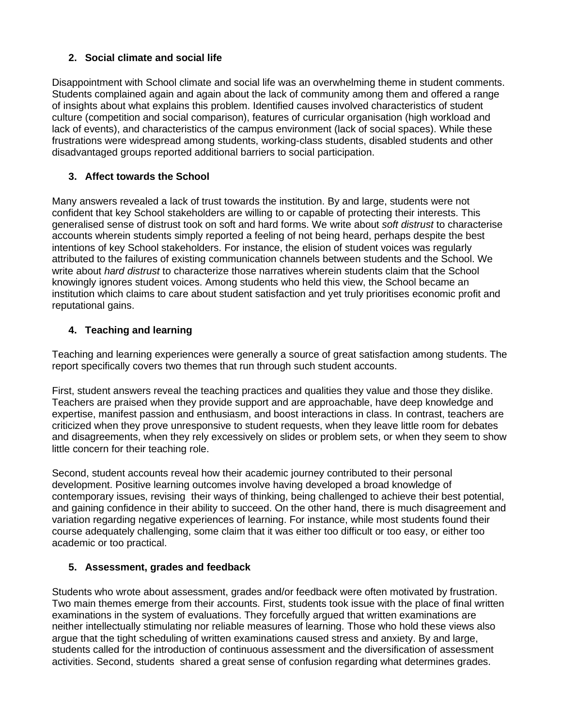## **2. Social climate and social life**

Disappointment with School climate and social life was an overwhelming theme in student comments. Students complained again and again about the lack of community among them and offered a range of insights about what explains this problem. Identified causes involved characteristics of student culture (competition and social comparison), features of curricular organisation (high workload and lack of events), and characteristics of the campus environment (lack of social spaces). While these frustrations were widespread among students, working-class students, disabled students and other disadvantaged groups reported additional barriers to social participation.

## **3. Affect towards the School**

Many answers revealed a lack of trust towards the institution. By and large, students were not confident that key School stakeholders are willing to or capable of protecting their interests. This generalised sense of distrust took on soft and hard forms. We write about *soft distrust* to characterise accounts wherein students simply reported a feeling of not being heard, perhaps despite the best intentions of key School stakeholders. For instance, the elision of student voices was regularly attributed to the failures of existing communication channels between students and the School. We write about *hard distrust* to characterize those narratives wherein students claim that the School knowingly ignores student voices. Among students who held this view, the School became an institution which claims to care about student satisfaction and yet truly prioritises economic profit and reputational gains.

## **4. Teaching and learning**

Teaching and learning experiences were generally a source of great satisfaction among students. The report specifically covers two themes that run through such student accounts.

First, student answers reveal the teaching practices and qualities they value and those they dislike. Teachers are praised when they provide support and are approachable, have deep knowledge and expertise, manifest passion and enthusiasm, and boost interactions in class. In contrast, teachers are criticized when they prove unresponsive to student requests, when they leave little room for debates and disagreements, when they rely excessively on slides or problem sets, or when they seem to show little concern for their teaching role.

Second, student accounts reveal how their academic journey contributed to their personal development. Positive learning outcomes involve having developed a broad knowledge of contemporary issues, revising their ways of thinking, being challenged to achieve their best potential, and gaining confidence in their ability to succeed. On the other hand, there is much disagreement and variation regarding negative experiences of learning. For instance, while most students found their course adequately challenging, some claim that it was either too difficult or too easy, or either too academic or too practical.

## **5. Assessment, grades and feedback**

Students who wrote about assessment, grades and/or feedback were often motivated by frustration. Two main themes emerge from their accounts. First, students took issue with the place of final written examinations in the system of evaluations. They forcefully argued that written examinations are neither intellectually stimulating nor reliable measures of learning. Those who hold these views also argue that the tight scheduling of written examinations caused stress and anxiety. By and large, students called for the introduction of continuous assessment and the diversification of assessment activities. Second, students shared a great sense of confusion regarding what determines grades.